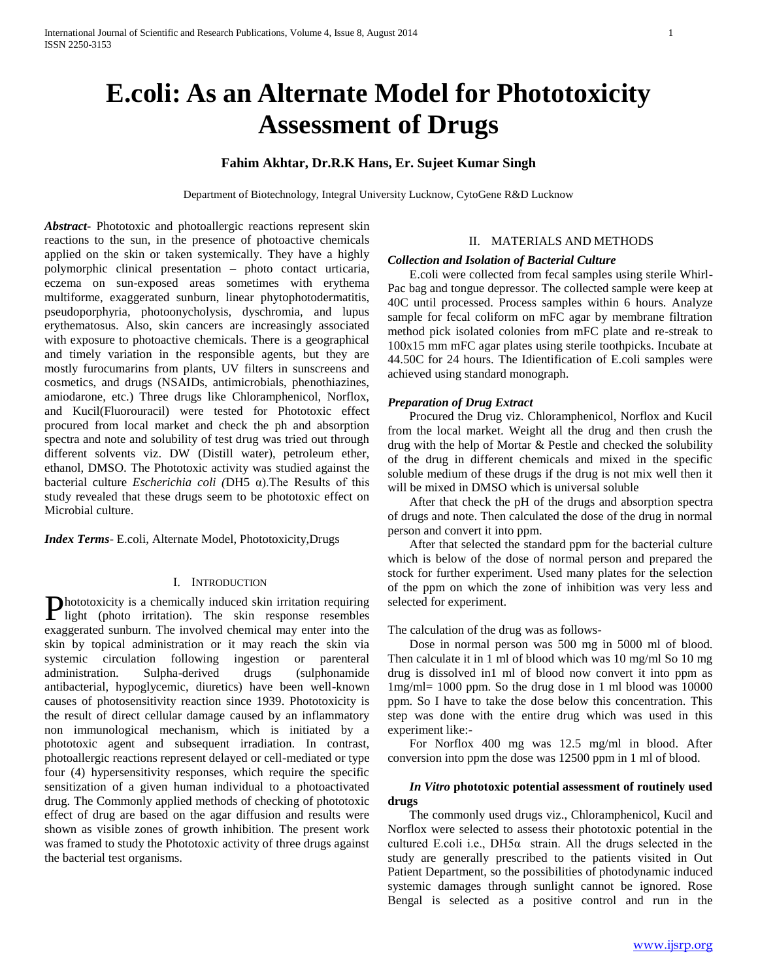# **E.coli: As an Alternate Model for Phototoxicity Assessment of Drugs**

## **Fahim Akhtar, Dr.R.K Hans, Er. Sujeet Kumar Singh**

Department of Biotechnology, Integral University Lucknow, CytoGene R&D Lucknow

*Abstract***-** Phototoxic and photoallergic reactions represent skin reactions to the sun, in the presence of photoactive chemicals applied on the skin or taken systemically. They have a highly polymorphic clinical presentation – photo contact urticaria, eczema on sun-exposed areas sometimes with erythema multiforme, exaggerated sunburn, linear phytophotodermatitis, pseudoporphyria, photoonycholysis, dyschromia, and lupus erythematosus. Also, skin cancers are increasingly associated with exposure to photoactive chemicals. There is a geographical and timely variation in the responsible agents, but they are mostly furocumarins from plants, UV filters in sunscreens and cosmetics, and drugs (NSAIDs, antimicrobials, phenothiazines, amiodarone, etc.) Three drugs like Chloramphenicol, Norflox, and Kucil(Fluorouracil) were tested for Phototoxic effect procured from local market and check the ph and absorption spectra and note and solubility of test drug was tried out through different solvents viz. DW (Distill water), petroleum ether, ethanol, DMSO. The Phototoxic activity was studied against the bacterial culture *Escherichia coli (*DH5 α).The Results of this study revealed that these drugs seem to be phototoxic effect on Microbial culture.

*Index Terms*- E.coli, Alternate Model, Phototoxicity,Drugs

#### I. INTRODUCTION

hototoxicity is a chemically induced skin irritation requiring Phototoxicity is a chemically induced skin irritation requiring<br>light (photo irritation). The skin response resembles exaggerated sunburn. The involved chemical may enter into the skin by topical administration or it may reach the skin via systemic circulation following ingestion or parenteral administration. Sulpha-derived drugs (sulphonamide antibacterial, hypoglycemic, diuretics) have been well-known causes of photosensitivity reaction since 1939. Phototoxicity is the result of direct cellular damage caused by an inflammatory non immunological mechanism, which is initiated by a phototoxic agent and subsequent irradiation. In contrast, photoallergic reactions represent delayed or cell-mediated or type four (4) hypersensitivity responses, which require the specific sensitization of a given human individual to a photoactivated drug. The Commonly applied methods of checking of phototoxic effect of drug are based on the agar diffusion and results were shown as visible zones of growth inhibition. The present work was framed to study the Phototoxic activity of three drugs against the bacterial test organisms.

#### II. MATERIALS AND METHODS

#### *Collection and Isolation of Bacterial Culture*

 E.coli were collected from fecal samples using sterile Whirl-Pac bag and tongue depressor. The collected sample were keep at 40C until processed. Process samples within 6 hours. Analyze sample for fecal coliform on mFC agar by membrane filtration method pick isolated colonies from mFC plate and re-streak to 100x15 mm mFC agar plates using sterile toothpicks. Incubate at 44.50C for 24 hours. The Idientification of E.coli samples were achieved using standard monograph.

#### *Preparation of Drug Extract*

 Procured the Drug viz. Chloramphenicol, Norflox and Kucil from the local market. Weight all the drug and then crush the drug with the help of Mortar & Pestle and checked the solubility of the drug in different chemicals and mixed in the specific soluble medium of these drugs if the drug is not mix well then it will be mixed in DMSO which is universal soluble

 After that check the pH of the drugs and absorption spectra of drugs and note. Then calculated the dose of the drug in normal person and convert it into ppm.

 After that selected the standard ppm for the bacterial culture which is below of the dose of normal person and prepared the stock for further experiment. Used many plates for the selection of the ppm on which the zone of inhibition was very less and selected for experiment.

The calculation of the drug was as follows-

 Dose in normal person was 500 mg in 5000 ml of blood. Then calculate it in 1 ml of blood which was 10 mg/ml So 10 mg drug is dissolved in1 ml of blood now convert it into ppm as 1mg/ml= 1000 ppm. So the drug dose in 1 ml blood was 10000 ppm. So I have to take the dose below this concentration. This step was done with the entire drug which was used in this experiment like:-

 For Norflox 400 mg was 12.5 mg/ml in blood. After conversion into ppm the dose was 12500 ppm in 1 ml of blood.

## *In Vitro* **phototoxic potential assessment of routinely used drugs**

 The commonly used drugs viz., Chloramphenicol, Kucil and Norflox were selected to assess their phototoxic potential in the cultured E.coli i.e.,  $DH5\alpha$  strain. All the drugs selected in the study are generally prescribed to the patients visited in Out Patient Department, so the possibilities of photodynamic induced systemic damages through sunlight cannot be ignored. Rose Bengal is selected as a positive control and run in the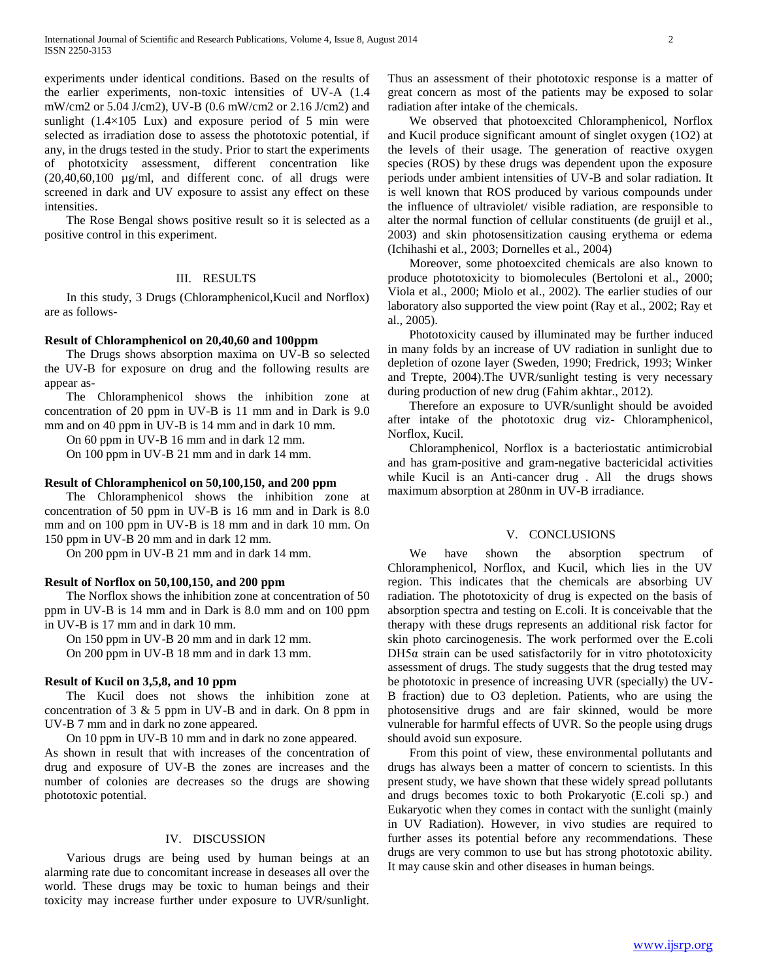experiments under identical conditions. Based on the results of the earlier experiments, non-toxic intensities of UV-A (1.4 mW/cm2 or 5.04 J/cm2), UV-B (0.6 mW/cm2 or 2.16 J/cm2) and sunlight (1.4×105 Lux) and exposure period of 5 min were selected as irradiation dose to assess the phototoxic potential, if any, in the drugs tested in the study. Prior to start the experiments of phototxicity assessment, different concentration like (20,40,60,100 µg/ml, and different conc. of all drugs were screened in dark and UV exposure to assist any effect on these intensities.

 The Rose Bengal shows positive result so it is selected as a positive control in this experiment.

## III. RESULTS

 In this study, 3 Drugs (Chloramphenicol,Kucil and Norflox) are as follows-

## **Result of Chloramphenicol on 20,40,60 and 100ppm**

 The Drugs shows absorption maxima on UV-B so selected the UV-B for exposure on drug and the following results are appear as-

 The Chloramphenicol shows the inhibition zone at concentration of 20 ppm in UV-B is 11 mm and in Dark is 9.0 mm and on 40 ppm in UV-B is 14 mm and in dark 10 mm.

On 60 ppm in UV-B 16 mm and in dark 12 mm.

On 100 ppm in UV-B 21 mm and in dark 14 mm.

#### **Result of Chloramphenicol on 50,100,150, and 200 ppm**

 The Chloramphenicol shows the inhibition zone at concentration of 50 ppm in UV-B is 16 mm and in Dark is 8.0 mm and on 100 ppm in UV-B is 18 mm and in dark 10 mm. On 150 ppm in UV-B 20 mm and in dark 12 mm.

On 200 ppm in UV-B 21 mm and in dark 14 mm.

#### **Result of Norflox on 50,100,150, and 200 ppm**

 The Norflox shows the inhibition zone at concentration of 50 ppm in UV-B is 14 mm and in Dark is 8.0 mm and on 100 ppm in UV-B is 17 mm and in dark 10 mm.

On 150 ppm in UV-B 20 mm and in dark 12 mm.

On 200 ppm in UV-B 18 mm and in dark 13 mm.

#### **Result of Kucil on 3,5,8, and 10 ppm**

 The Kucil does not shows the inhibition zone at concentration of 3 & 5 ppm in UV-B and in dark. On 8 ppm in UV-B 7 mm and in dark no zone appeared.

On 10 ppm in UV-B 10 mm and in dark no zone appeared.

As shown in result that with increases of the concentration of drug and exposure of UV-B the zones are increases and the number of colonies are decreases so the drugs are showing phototoxic potential.

#### IV. DISCUSSION

 Various drugs are being used by human beings at an alarming rate due to concomitant increase in deseases all over the world. These drugs may be toxic to human beings and their toxicity may increase further under exposure to UVR/sunlight. Thus an assessment of their phototoxic response is a matter of great concern as most of the patients may be exposed to solar radiation after intake of the chemicals.

 We observed that photoexcited Chloramphenicol, Norflox and Kucil produce significant amount of singlet oxygen (1O2) at the levels of their usage. The generation of reactive oxygen species (ROS) by these drugs was dependent upon the exposure periods under ambient intensities of UV-B and solar radiation. It is well known that ROS produced by various compounds under the influence of ultraviolet/ visible radiation, are responsible to alter the normal function of cellular constituents (de gruijl et al., 2003) and skin photosensitization causing erythema or edema (Ichihashi et al., 2003; Dornelles et al., 2004)

 Moreover, some photoexcited chemicals are also known to produce phototoxicity to biomolecules (Bertoloni et al., 2000; Viola et al., 2000; Miolo et al., 2002). The earlier studies of our laboratory also supported the view point (Ray et al., 2002; Ray et al., 2005).

 Phototoxicity caused by illuminated may be further induced in many folds by an increase of UV radiation in sunlight due to depletion of ozone layer (Sweden, 1990; Fredrick, 1993; Winker and Trepte, 2004).The UVR/sunlight testing is very necessary during production of new drug (Fahim akhtar., 2012).

 Therefore an exposure to UVR/sunlight should be avoided after intake of the phototoxic drug viz- Chloramphenicol, Norflox, Kucil.

 Chloramphenicol, Norflox is a bacteriostatic antimicrobial and has gram-positive and gram-negative bactericidal activities while Kucil is an Anti-cancer drug . All the drugs shows maximum absorption at 280nm in UV-B irradiance.

#### V. CONCLUSIONS

 We have shown the absorption spectrum of Chloramphenicol, Norflox, and Kucil, which lies in the UV region. This indicates that the chemicals are absorbing UV radiation. The phototoxicity of drug is expected on the basis of absorption spectra and testing on E.coli. It is conceivable that the therapy with these drugs represents an additional risk factor for skin photo carcinogenesis. The work performed over the E.coli  $DH5\alpha$  strain can be used satisfactorily for in vitro phototoxicity assessment of drugs. The study suggests that the drug tested may be phototoxic in presence of increasing UVR (specially) the UV-B fraction) due to O3 depletion. Patients, who are using the photosensitive drugs and are fair skinned, would be more vulnerable for harmful effects of UVR. So the people using drugs should avoid sun exposure.

 From this point of view, these environmental pollutants and drugs has always been a matter of concern to scientists. In this present study, we have shown that these widely spread pollutants and drugs becomes toxic to both Prokaryotic (E.coli sp.) and Eukaryotic when they comes in contact with the sunlight (mainly in UV Radiation). However, in vivo studies are required to further asses its potential before any recommendations. These drugs are very common to use but has strong phototoxic ability. It may cause skin and other diseases in human beings.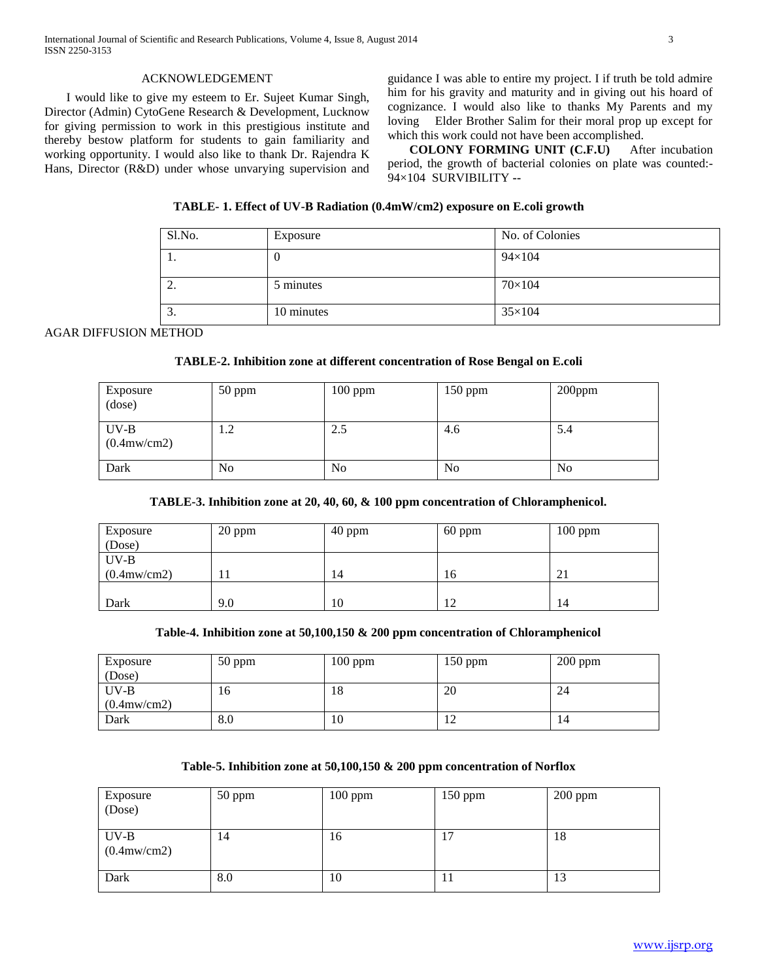## ACKNOWLEDGEMENT

 I would like to give my esteem to Er. Sujeet Kumar Singh, Director (Admin) CytoGene Research & Development, Lucknow for giving permission to work in this prestigious institute and thereby bestow platform for students to gain familiarity and working opportunity. I would also like to thank Dr. Rajendra K Hans, Director (R&D) under whose unvarying supervision and guidance I was able to entire my project. I if truth be told admire him for his gravity and maturity and in giving out his hoard of cognizance. I would also like to thanks My Parents and my loving Elder Brother Salim for their moral prop up except for which this work could not have been accomplished.

 **COLONY FORMING UNIT (C.F.U)** After incubation period, the growth of bacterial colonies on plate was counted:- 94×104SURVIBILITY **--**

## **TABLE- 1. Effect of UV-B Radiation (0.4mW/cm2) exposure on E.coli growth**

| Sl.No.           | Exposure   | No. of Colonies |
|------------------|------------|-----------------|
| . .              |            | $94 \times 104$ |
| <u>.</u>         | 5 minutes  | $70\times104$   |
| $\sqrt{2}$<br>J. | 10 minutes | $35\times104$   |

## AGAR DIFFUSION METHOD

## **TABLE-2. Inhibition zone at different concentration of Rose Bengal on E.coli**

| Exposure<br>(dose)              | $50$ ppm | $100$ ppm | $150$ ppm | 200ppm         |
|---------------------------------|----------|-----------|-----------|----------------|
| $UV-B$<br>$(0.4 \text{mw/cm2})$ | 1.2      | 2.5       | 4.6       | 5.4            |
| Dark                            | No       | No        | No        | N <sub>0</sub> |

## **TABLE-3. Inhibition zone at 20, 40, 60, & 100 ppm concentration of Chloramphenicol.**

| Exposure              | 20 ppm | 40 ppm | $60$ ppm | $100$ ppm |
|-----------------------|--------|--------|----------|-----------|
| (Dose)                |        |        |          |           |
| $UV-B$                |        |        |          |           |
| $(0.4 \text{mw/cm2})$ | 11     | 14     | 16       | 21        |
|                       |        |        |          |           |
| Dark                  | 9.0    | 10     | 12       | 14        |

## **Table-4. Inhibition zone at 50,100,150 & 200 ppm concentration of Chloramphenicol**

| Exposure          | $50$ ppm | $100$ ppm | 150 ppm | $200$ ppm |
|-------------------|----------|-----------|---------|-----------|
| (Dose)            |          |           |         |           |
| $UV-B$            | 16       | 18        | 20      | 24        |
| $(0.4$ mw/cm2 $)$ |          |           |         |           |
| Dark              | 8.0      | 10        | 12      | 14        |

#### **Table-5. Inhibition zone at 50,100,150 & 200 ppm concentration of Norflox**

| Exposure<br>(Dose)              | $50$ ppm | $100$ ppm | $150$ ppm           | $200$ ppm |
|---------------------------------|----------|-----------|---------------------|-----------|
| $UV-B$<br>$(0.4 \text{mw/cm2})$ | 14       | 16        | ∽<br>$\mathbf{I}$ . | 18        |
| Dark                            | 8.0      | 10        | 1 J                 | 13        |